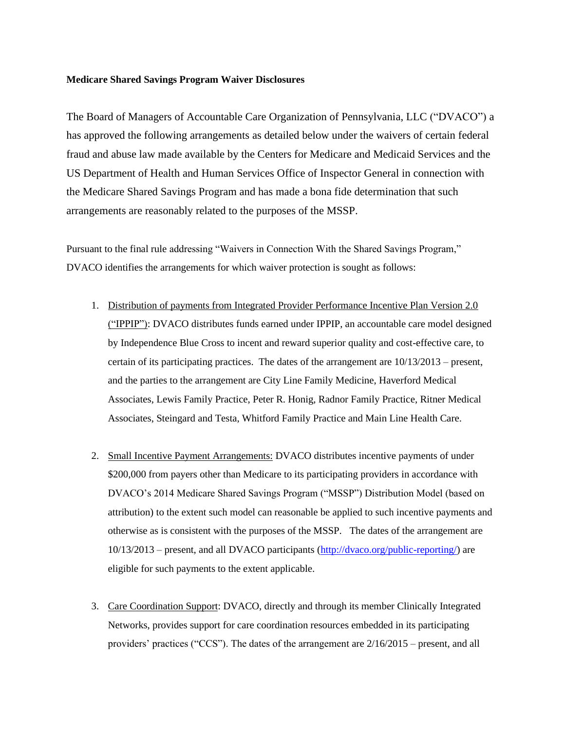## **Medicare Shared Savings Program Waiver Disclosures**

The Board of Managers of Accountable Care Organization of Pennsylvania, LLC ("DVACO") a has approved the following arrangements as detailed below under the waivers of certain federal fraud and abuse law made available by the Centers for Medicare and Medicaid Services and the US Department of Health and Human Services Office of Inspector General in connection with the Medicare Shared Savings Program and has made a bona fide determination that such arrangements are reasonably related to the purposes of the MSSP.

Pursuant to the final rule addressing "Waivers in Connection With the Shared Savings Program," DVACO identifies the arrangements for which waiver protection is sought as follows:

- 1. Distribution of payments from Integrated Provider Performance Incentive Plan Version 2.0 ("IPPIP"): DVACO distributes funds earned under IPPIP, an accountable care model designed by Independence Blue Cross to incent and reward superior quality and cost-effective care, to certain of its participating practices. The dates of the arrangement are 10/13/2013 – present, and the parties to the arrangement are City Line Family Medicine, Haverford Medical Associates, Lewis Family Practice, Peter R. Honig, Radnor Family Practice, Ritner Medical Associates, Steingard and Testa, Whitford Family Practice and Main Line Health Care.
- 2. Small Incentive Payment Arrangements: DVACO distributes incentive payments of under \$200,000 from payers other than Medicare to its participating providers in accordance with DVACO's 2014 Medicare Shared Savings Program ("MSSP") Distribution Model (based on attribution) to the extent such model can reasonable be applied to such incentive payments and otherwise as is consistent with the purposes of the MSSP. The dates of the arrangement are  $10/13/2013$  – present, and all DVACO participants [\(http://dvaco.org/public-reporting/\)](http://dvaco.org/public-reporting/) are eligible for such payments to the extent applicable.
- 3. Care Coordination Support: DVACO, directly and through its member Clinically Integrated Networks, provides support for care coordination resources embedded in its participating providers' practices ("CCS"). The dates of the arrangement are 2/16/2015 – present, and all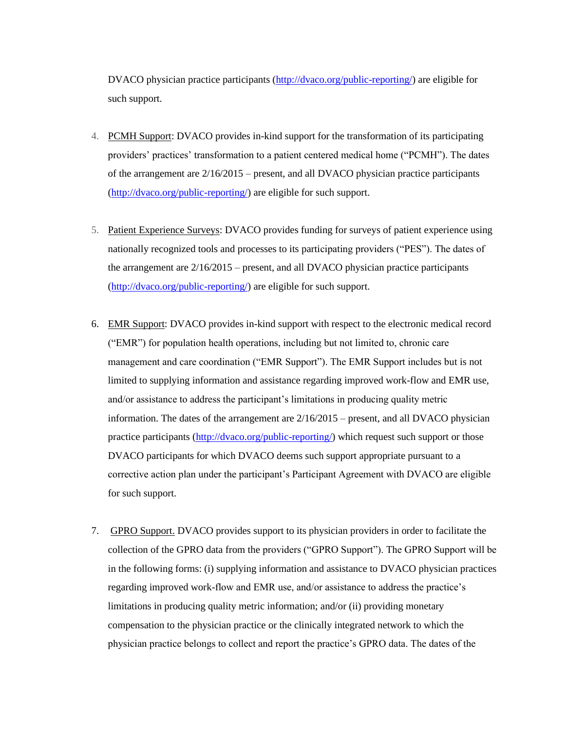DVACO physician practice participants [\(http://dvaco.org/public-reporting/\)](http://dvaco.org/public-reporting/) are eligible for such support.

- 4. PCMH Support: DVACO provides in-kind support for the transformation of its participating providers' practices' transformation to a patient centered medical home ("PCMH"). The dates of the arrangement are  $2/16/2015$  – present, and all DVACO physician practice participants [\(http://dvaco.org/public-reporting/\)](http://dvaco.org/public-reporting/) are eligible for such support.
- 5. Patient Experience Surveys: DVACO provides funding for surveys of patient experience using nationally recognized tools and processes to its participating providers ("PES"). The dates of the arrangement are  $2/16/2015$  – present, and all DVACO physician practice participants [\(http://dvaco.org/public-reporting/\)](http://dvaco.org/public-reporting/) are eligible for such support.
- 6. EMR Support: DVACO provides in-kind support with respect to the electronic medical record ("EMR") for population health operations, including but not limited to, chronic care management and care coordination ("EMR Support"). The EMR Support includes but is not limited to supplying information and assistance regarding improved work-flow and EMR use, and/or assistance to address the participant's limitations in producing quality metric information. The dates of the arrangement are 2/16/2015 – present, and all DVACO physician practice participants [\(http://dvaco.org/public-reporting/\)](http://dvaco.org/public-reporting/) which request such support or those DVACO participants for which DVACO deems such support appropriate pursuant to a corrective action plan under the participant's Participant Agreement with DVACO are eligible for such support.
- 7. GPRO Support. DVACO provides support to its physician providers in order to facilitate the collection of the GPRO data from the providers ("GPRO Support"). The GPRO Support will be in the following forms: (i) supplying information and assistance to DVACO physician practices regarding improved work-flow and EMR use, and/or assistance to address the practice's limitations in producing quality metric information; and/or (ii) providing monetary compensation to the physician practice or the clinically integrated network to which the physician practice belongs to collect and report the practice's GPRO data. The dates of the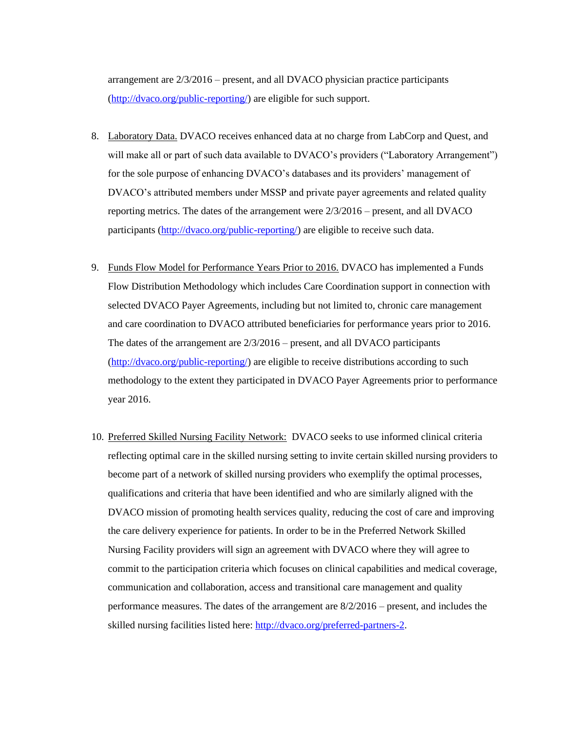arrangement are 2/3/2016 – present, and all DVACO physician practice participants [\(http://dvaco.org/public-reporting/\)](http://dvaco.org/public-reporting/) are eligible for such support.

- 8. Laboratory Data. DVACO receives enhanced data at no charge from LabCorp and Quest, and will make all or part of such data available to DVACO's providers ("Laboratory Arrangement") for the sole purpose of enhancing DVACO's databases and its providers' management of DVACO's attributed members under MSSP and private payer agreements and related quality reporting metrics. The dates of the arrangement were 2/3/2016 – present, and all DVACO participants [\(http://dvaco.org/public-reporting/\)](http://dvaco.org/public-reporting/) are eligible to receive such data.
- 9. Funds Flow Model for Performance Years Prior to 2016. DVACO has implemented a Funds Flow Distribution Methodology which includes Care Coordination support in connection with selected DVACO Payer Agreements, including but not limited to, chronic care management and care coordination to DVACO attributed beneficiaries for performance years prior to 2016. The dates of the arrangement are 2/3/2016 – present, and all DVACO participants [\(http://dvaco.org/public-reporting/\)](http://dvaco.org/public-reporting/) are eligible to receive distributions according to such methodology to the extent they participated in DVACO Payer Agreements prior to performance year 2016.
- 10. Preferred Skilled Nursing Facility Network: DVACO seeks to use informed clinical criteria reflecting optimal care in the skilled nursing setting to invite certain skilled nursing providers to become part of a network of skilled nursing providers who exemplify the optimal processes, qualifications and criteria that have been identified and who are similarly aligned with the DVACO mission of promoting health services quality, reducing the cost of care and improving the care delivery experience for patients. In order to be in the Preferred Network Skilled Nursing Facility providers will sign an agreement with DVACO where they will agree to commit to the participation criteria which focuses on clinical capabilities and medical coverage, communication and collaboration, access and transitional care management and quality performance measures. The dates of the arrangement are 8/2/2016 – present, and includes the skilled nursing facilities listed here: [http://dvaco.org/preferred-partners-2.](http://dvaco.org/preferred-partners-2)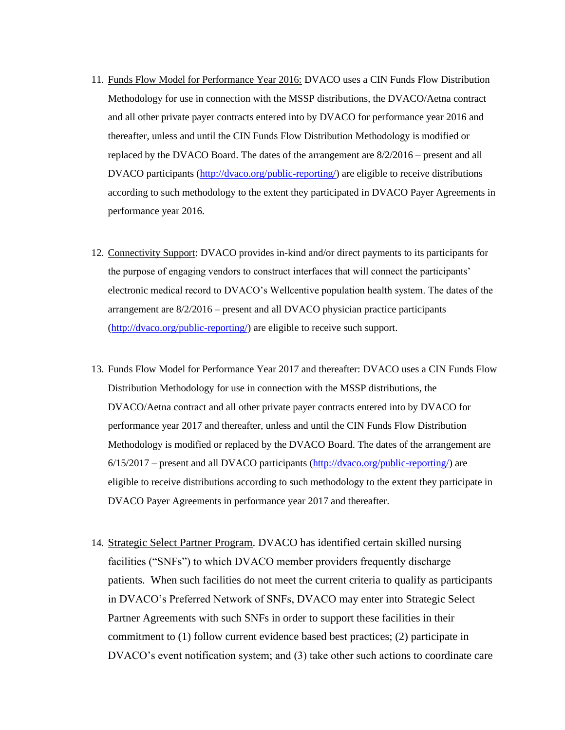- 11. Funds Flow Model for Performance Year 2016: DVACO uses a CIN Funds Flow Distribution Methodology for use in connection with the MSSP distributions, the DVACO/Aetna contract and all other private payer contracts entered into by DVACO for performance year 2016 and thereafter, unless and until the CIN Funds Flow Distribution Methodology is modified or replaced by the DVACO Board. The dates of the arrangement are 8/2/2016 – present and all DVACO participants [\(http://dvaco.org/public-reporting/\)](http://dvaco.org/public-reporting/) are eligible to receive distributions according to such methodology to the extent they participated in DVACO Payer Agreements in performance year 2016.
- 12. Connectivity Support: DVACO provides in-kind and/or direct payments to its participants for the purpose of engaging vendors to construct interfaces that will connect the participants' electronic medical record to DVACO's Wellcentive population health system. The dates of the arrangement are 8/2/2016 – present and all DVACO physician practice participants [\(http://dvaco.org/public-reporting/\)](http://dvaco.org/public-reporting/) are eligible to receive such support.
- 13. Funds Flow Model for Performance Year 2017 and thereafter: DVACO uses a CIN Funds Flow Distribution Methodology for use in connection with the MSSP distributions, the DVACO/Aetna contract and all other private payer contracts entered into by DVACO for performance year 2017 and thereafter, unless and until the CIN Funds Flow Distribution Methodology is modified or replaced by the DVACO Board. The dates of the arrangement are  $6/15/2017$  – present and all DVACO participants  $(\frac{http://dvaco.org/public-reporting/}{http://dvaco.org/public-reporting/}{$ eligible to receive distributions according to such methodology to the extent they participate in DVACO Payer Agreements in performance year 2017 and thereafter.
- 14. Strategic Select Partner Program. DVACO has identified certain skilled nursing facilities ("SNFs") to which DVACO member providers frequently discharge patients. When such facilities do not meet the current criteria to qualify as participants in DVACO's Preferred Network of SNFs, DVACO may enter into Strategic Select Partner Agreements with such SNFs in order to support these facilities in their commitment to (1) follow current evidence based best practices; (2) participate in DVACO's event notification system; and (3) take other such actions to coordinate care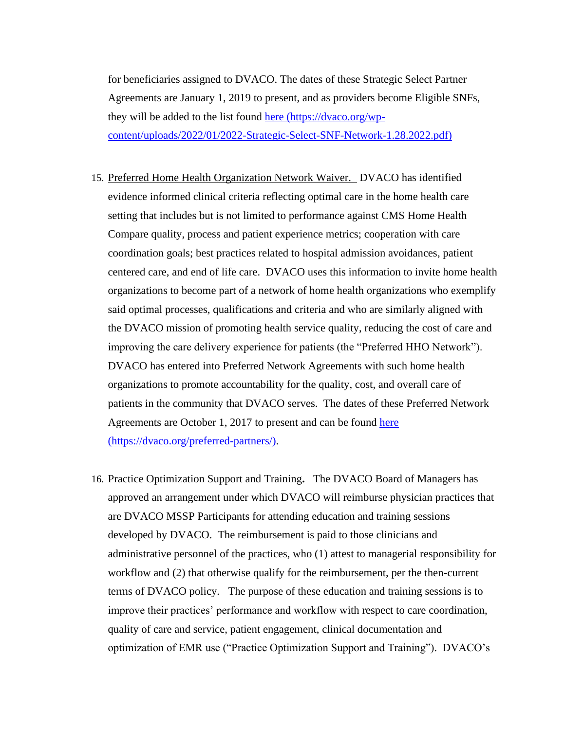for beneficiaries assigned to DVACO. The dates of these Strategic Select Partner Agreements are January 1, 2019 to present, and as providers become Eligible SNFs, they will be added to the list found [here \(https://dvaco.org/wp](https://dvaco.org/wp-content/uploads/2022/01/2022-Strategic-Select-SNF-Network-1.28.2022.pdf)[content/uploads/2022/01/2022-Strategic-Select-SNF-Network-1.28.2022.pdf\)](https://dvaco.org/wp-content/uploads/2022/01/2022-Strategic-Select-SNF-Network-1.28.2022.pdf)

- 15. Preferred Home Health Organization Network Waiver. DVACO has identified evidence informed clinical criteria reflecting optimal care in the home health care setting that includes but is not limited to performance against CMS Home Health Compare quality, process and patient experience metrics; cooperation with care coordination goals; best practices related to hospital admission avoidances, patient centered care, and end of life care. DVACO uses this information to invite home health organizations to become part of a network of home health organizations who exemplify said optimal processes, qualifications and criteria and who are similarly aligned with the DVACO mission of promoting health service quality, reducing the cost of care and improving the care delivery experience for patients (the "Preferred HHO Network"). DVACO has entered into Preferred Network Agreements with such home health organizations to promote accountability for the quality, cost, and overall care of patients in the community that DVACO serves. The dates of these Preferred Network Agreements are October 1, 2017 to present and can be found [here](http://dvaco.org/preferred-partners/)  [\(https://dvaco.org/preferred-partners/\).](http://dvaco.org/preferred-partners/)
- 16. Practice Optimization Support and Training**.** The DVACO Board of Managers has approved an arrangement under which DVACO will reimburse physician practices that are DVACO MSSP Participants for attending education and training sessions developed by DVACO. The reimbursement is paid to those clinicians and administrative personnel of the practices, who (1) attest to managerial responsibility for workflow and (2) that otherwise qualify for the reimbursement, per the then-current terms of DVACO policy. The purpose of these education and training sessions is to improve their practices' performance and workflow with respect to care coordination, quality of care and service, patient engagement, clinical documentation and optimization of EMR use ("Practice Optimization Support and Training"). DVACO's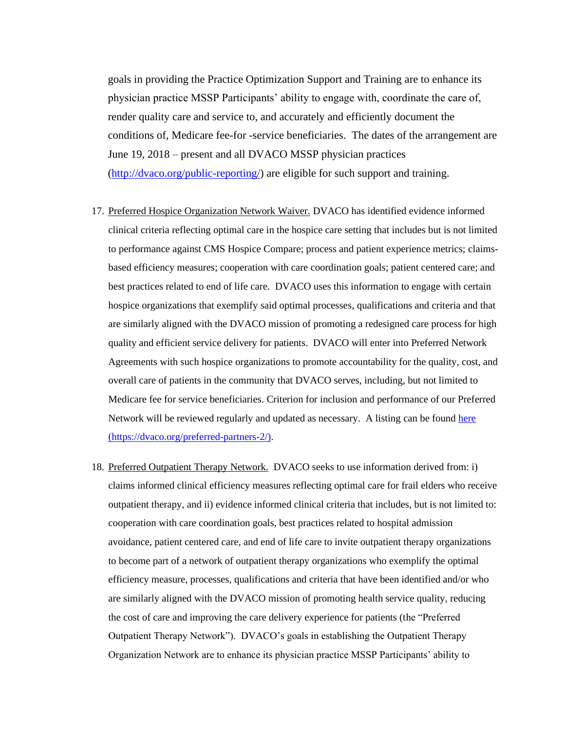goals in providing the Practice Optimization Support and Training are to enhance its physician practice MSSP Participants' ability to engage with, coordinate the care of, render quality care and service to, and accurately and efficiently document the conditions of, Medicare fee-for -service beneficiaries. The dates of the arrangement are June 19, 2018 – present and all DVACO MSSP physician practices [\(http://dvaco.org/public-reporting/\)](http://dvaco.org/public-reporting/) are eligible for such support and training.

- 17. Preferred Hospice Organization Network Waiver. DVACO has identified evidence informed clinical criteria reflecting optimal care in the hospice care setting that includes but is not limited to performance against CMS Hospice Compare; process and patient experience metrics; claimsbased efficiency measures; cooperation with care coordination goals; patient centered care; and best practices related to end of life care. DVACO uses this information to engage with certain hospice organizations that exemplify said optimal processes, qualifications and criteria and that are similarly aligned with the DVACO mission of promoting a redesigned care process for high quality and efficient service delivery for patients. DVACO will enter into Preferred Network Agreements with such hospice organizations to promote accountability for the quality, cost, and overall care of patients in the community that DVACO serves, including, but not limited to Medicare fee for service beneficiaries. Criterion for inclusion and performance of our Preferred Network will be reviewed regularly and updated as necessary. A listing can be foun[d here](https://dvaco.org/preferred-partners-2/)  [\(https://dvaco.org/preferred-partners-2/\).](https://dvaco.org/preferred-partners-2/)
- 18. Preferred Outpatient Therapy Network. DVACO seeks to use information derived from: i) claims informed clinical efficiency measures reflecting optimal care for frail elders who receive outpatient therapy, and ii) evidence informed clinical criteria that includes, but is not limited to: cooperation with care coordination goals, best practices related to hospital admission avoidance, patient centered care, and end of life care to invite outpatient therapy organizations to become part of a network of outpatient therapy organizations who exemplify the optimal efficiency measure, processes, qualifications and criteria that have been identified and/or who are similarly aligned with the DVACO mission of promoting health service quality, reducing the cost of care and improving the care delivery experience for patients (the "Preferred Outpatient Therapy Network"). DVACO's goals in establishing the Outpatient Therapy Organization Network are to enhance its physician practice MSSP Participants' ability to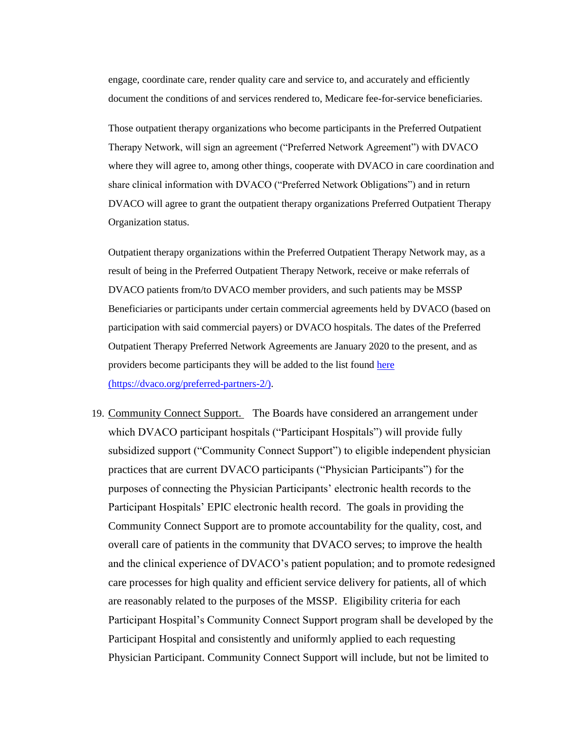engage, coordinate care, render quality care and service to, and accurately and efficiently document the conditions of and services rendered to, Medicare fee-for-service beneficiaries.

Those outpatient therapy organizations who become participants in the Preferred Outpatient Therapy Network, will sign an agreement ("Preferred Network Agreement") with DVACO where they will agree to, among other things, cooperate with DVACO in care coordination and share clinical information with DVACO ("Preferred Network Obligations") and in return DVACO will agree to grant the outpatient therapy organizations Preferred Outpatient Therapy Organization status.

Outpatient therapy organizations within the Preferred Outpatient Therapy Network may, as a result of being in the Preferred Outpatient Therapy Network, receive or make referrals of DVACO patients from/to DVACO member providers, and such patients may be MSSP Beneficiaries or participants under certain commercial agreements held by DVACO (based on participation with said commercial payers) or DVACO hospitals. The dates of the Preferred Outpatient Therapy Preferred Network Agreements are January 2020 to the present, and as providers become participants they will be added to the list found here [\(https://dvaco.org/preferred-partners-2/\).](https://dvaco.org/preferred-partners-2/)

19. Community Connect Support. The Boards have considered an arrangement under which DVACO participant hospitals ("Participant Hospitals") will provide fully subsidized support ("Community Connect Support") to eligible independent physician practices that are current DVACO participants ("Physician Participants") for the purposes of connecting the Physician Participants' electronic health records to the Participant Hospitals' EPIC electronic health record. The goals in providing the Community Connect Support are to promote accountability for the quality, cost, and overall care of patients in the community that DVACO serves; to improve the health and the clinical experience of DVACO's patient population; and to promote redesigned care processes for high quality and efficient service delivery for patients, all of which are reasonably related to the purposes of the MSSP. Eligibility criteria for each Participant Hospital's Community Connect Support program shall be developed by the Participant Hospital and consistently and uniformly applied to each requesting Physician Participant. Community Connect Support will include, but not be limited to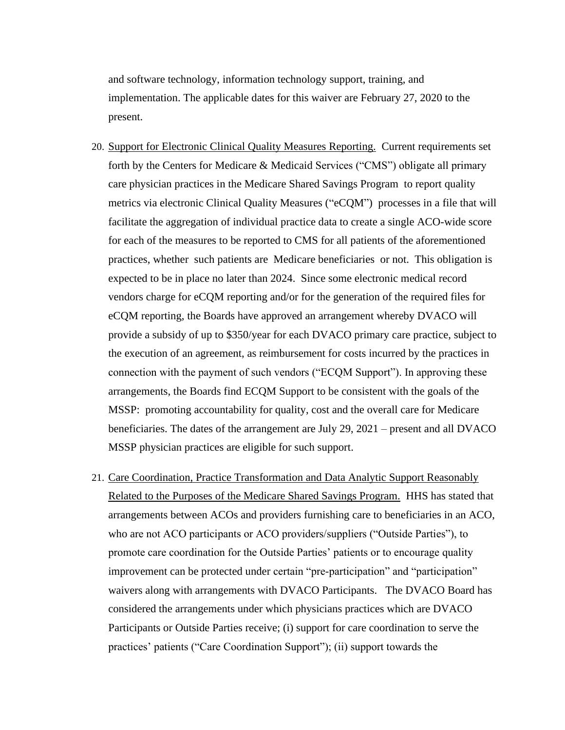and software technology, information technology support, training, and implementation. The applicable dates for this waiver are February 27, 2020 to the present.

- 20. Support for Electronic Clinical Quality Measures Reporting. Current requirements set forth by the Centers for Medicare & Medicaid Services ("CMS") obligate all primary care physician practices in the Medicare Shared Savings Program to report quality metrics via electronic Clinical Quality Measures ("eCQM") processes in a file that will facilitate the aggregation of individual practice data to create a single ACO-wide score for each of the measures to be reported to CMS for all patients of the aforementioned practices, whether such patients are Medicare beneficiaries or not. This obligation is expected to be in place no later than 2024. Since some electronic medical record vendors charge for eCQM reporting and/or for the generation of the required files for eCQM reporting, the Boards have approved an arrangement whereby DVACO will provide a subsidy of up to \$350/year for each DVACO primary care practice, subject to the execution of an agreement, as reimbursement for costs incurred by the practices in connection with the payment of such vendors ("ECQM Support"). In approving these arrangements, the Boards find ECQM Support to be consistent with the goals of the MSSP: promoting accountability for quality, cost and the overall care for Medicare beneficiaries. The dates of the arrangement are July 29, 2021 – present and all DVACO MSSP physician practices are eligible for such support.
- 21. Care Coordination, Practice Transformation and Data Analytic Support Reasonably Related to the Purposes of the Medicare Shared Savings Program. HHS has stated that arrangements between ACOs and providers furnishing care to beneficiaries in an ACO, who are not ACO participants or ACO providers/suppliers ("Outside Parties"), to promote care coordination for the Outside Parties' patients or to encourage quality improvement can be protected under certain "pre-participation" and "participation" waivers along with arrangements with DVACO Participants. The DVACO Board has considered the arrangements under which physicians practices which are DVACO Participants or Outside Parties receive; (i) support for care coordination to serve the practices' patients ("Care Coordination Support"); (ii) support towards the